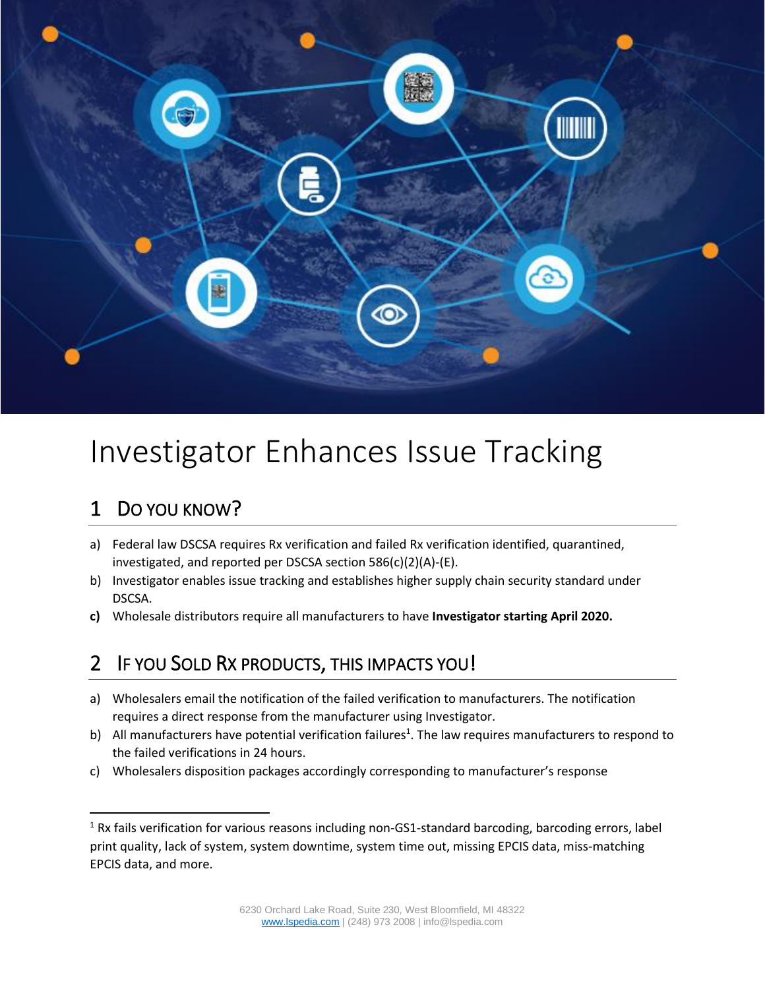

# Investigator Enhances Issue Tracking

## 1 DO YOU KNOW?

- a) Federal law DSCSA requires Rx verification and failed Rx verification identified, quarantined, investigated, and reported per DSCSA section 586(c)(2)(A)-(E).
- b) Investigator enables issue tracking and establishes higher supply chain security standard under DSCSA.
- **c)** Wholesale distributors require all manufacturers to have **Investigator starting April 2020.**

#### 2 IF YOU SOLD RX PRODUCTS, THIS IMPACTS YOU!

- a) Wholesalers email the notification of the failed verification to manufacturers. The notification requires a direct response from the manufacturer using Investigator.
- b) All manufacturers have potential verification failures<sup>1</sup>. The law requires manufacturers to respond to the failed verifications in 24 hours.
- c) Wholesalers disposition packages accordingly corresponding to manufacturer's response

<sup>&</sup>lt;sup>1</sup> Rx fails verification for various reasons including non-GS1-standard barcoding, barcoding errors, label print quality, lack of system, system downtime, system time out, missing EPCIS data, miss-matching EPCIS data, and more.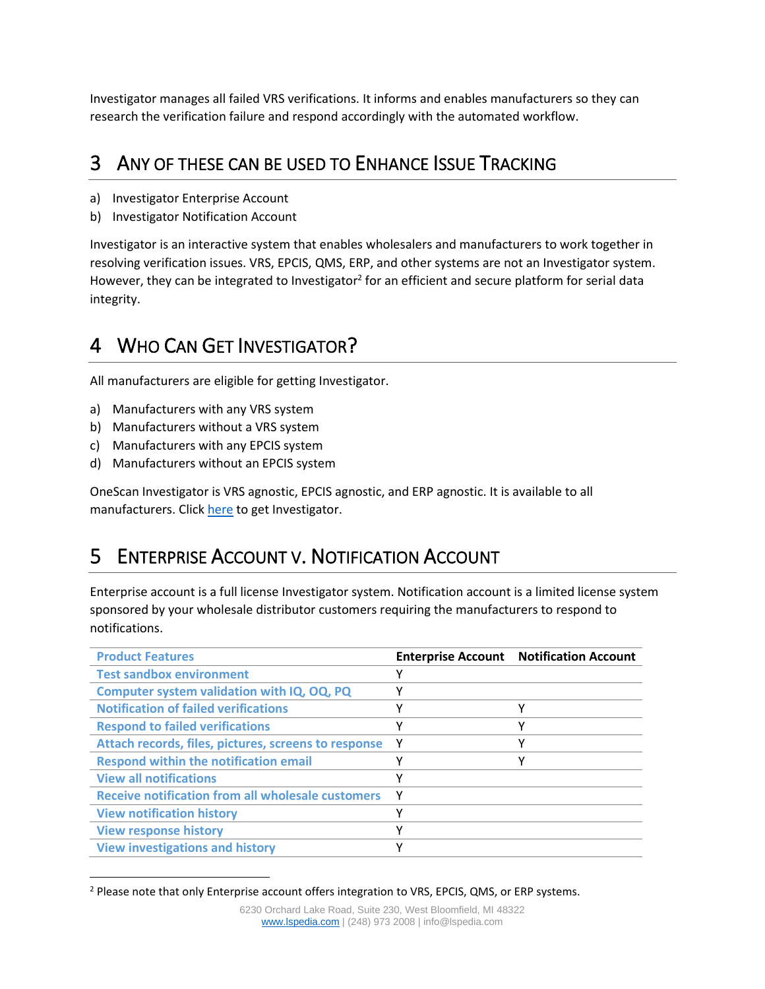Investigator manages all failed VRS verifications. It informs and enables manufacturers so they can research the verification failure and respond accordingly with the automated workflow.

#### 3 ANY OF THESE CAN BE USED TO ENHANCE ISSUE TRACKING

- a) Investigator Enterprise Account
- b) Investigator Notification Account

Investigator is an interactive system that enables wholesalers and manufacturers to work together in resolving verification issues. VRS, EPCIS, QMS, ERP, and other systems are not an Investigator system. However, they can be integrated to Investigator<sup>2</sup> for an efficient and secure platform for serial data integrity.

#### 4 WHO CAN GET INVESTIGATOR?

All manufacturers are eligible for getting Investigator.

- a) Manufacturers with any VRS system
- b) Manufacturers without a VRS system
- c) Manufacturers with any EPCIS system
- d) Manufacturers without an EPCIS system

OneScan Investigator is VRS agnostic, EPCIS agnostic, and ERP agnostic. It is available to all manufacturers. Click [here](#page-3-0) to get Investigator.

## 5 ENTERPRISE ACCOUNT V. NOTIFICATION ACCOUNT

Enterprise account is a full license Investigator system. Notification account is a limited license system sponsored by your wholesale distributor customers requiring the manufacturers to respond to notifications.

| <b>Product Features</b>                                  |              | <b>Enterprise Account Notification Account</b> |
|----------------------------------------------------------|--------------|------------------------------------------------|
| <b>Test sandbox environment</b>                          | γ            |                                                |
| Computer system validation with IQ, OQ, PQ               | ٧            |                                                |
| <b>Notification of failed verifications</b>              | ۷            | Υ                                              |
| <b>Respond to failed verifications</b>                   | v            | v                                              |
| Attach records, files, pictures, screens to response     | Y            | v                                              |
| <b>Respond within the notification email</b>             | v            | v                                              |
| <b>View all notifications</b>                            | $\checkmark$ |                                                |
| <b>Receive notification from all wholesale customers</b> | ۷            |                                                |
| <b>View notification history</b>                         | ۷            |                                                |
| <b>View response history</b>                             | $\checkmark$ |                                                |
| <b>View investigations and history</b>                   | $\checkmark$ |                                                |

<sup>&</sup>lt;sup>2</sup> Please note that only Enterprise account offers integration to VRS, EPCIS, QMS, or ERP systems.

<sup>6230</sup> Orchard Lake Road, Suite 230, West Bloomfield, MI 48322 [www.lspedia.com](http://www.lspedia.com/) | (248) 973 2008 | info@lspedia.com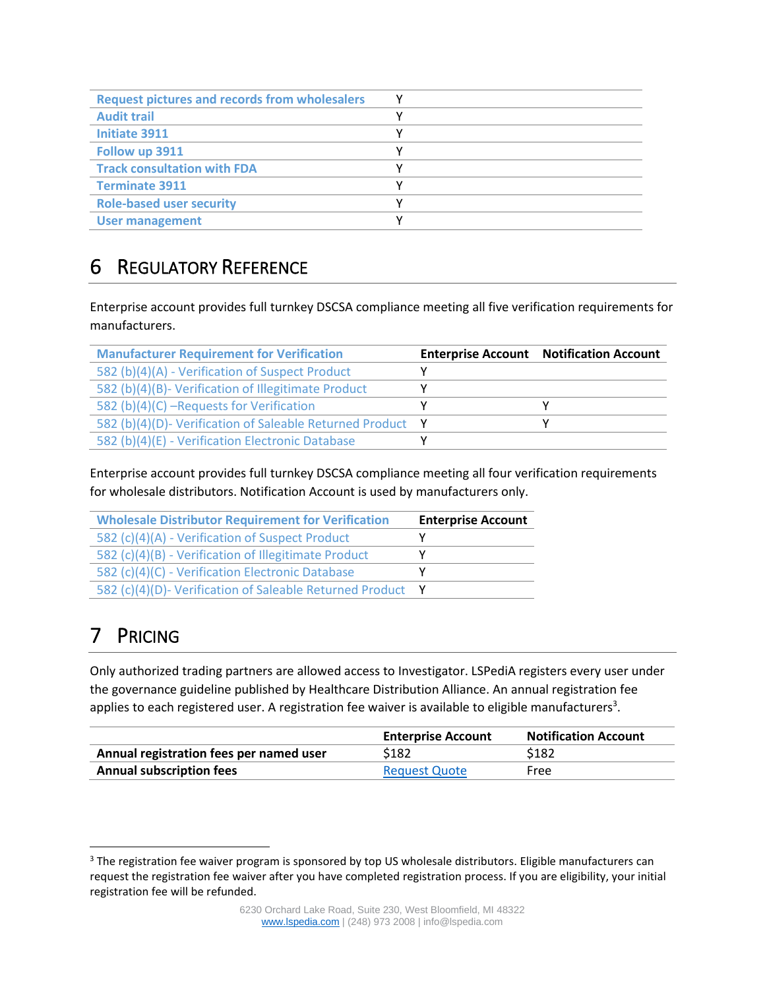| <b>Request pictures and records from wholesalers</b> |  |
|------------------------------------------------------|--|
| <b>Audit trail</b>                                   |  |
| <b>Initiate 3911</b>                                 |  |
| Follow up 3911                                       |  |
| <b>Track consultation with FDA</b>                   |  |
| <b>Terminate 3911</b>                                |  |
| <b>Role-based user security</b>                      |  |
| <b>User management</b>                               |  |

#### 6 REGULATORY REFERENCE

Enterprise account provides full turnkey DSCSA compliance meeting all five verification requirements for manufacturers.

| <b>Manufacturer Requirement for Verification</b>           | <b>Enterprise Account Notification Account</b> |
|------------------------------------------------------------|------------------------------------------------|
| 582 (b)(4)(A) - Verification of Suspect Product            |                                                |
| 582 (b)(4)(B)- Verification of Illegitimate Product        |                                                |
| 582 (b)(4)(C) -Requests for Verification                   |                                                |
| 582 (b)(4)(D)- Verification of Saleable Returned Product Y |                                                |
| 582 (b)(4)(E) - Verification Electronic Database           |                                                |

Enterprise account provides full turnkey DSCSA compliance meeting all four verification requirements for wholesale distributors. Notification Account is used by manufacturers only.

| <b>Wholesale Distributor Requirement for Verification</b>  | <b>Enterprise Account</b> |
|------------------------------------------------------------|---------------------------|
| 582 (c)(4)(A) - Verification of Suspect Product            |                           |
| 582 (c)(4)(B) - Verification of Illegitimate Product       |                           |
| 582 (c)(4)(C) - Verification Electronic Database           |                           |
| 582 (c)(4)(D)- Verification of Saleable Returned Product Y |                           |

# 7 PRICING

Only authorized trading partners are allowed access to Investigator. LSPediA registers every user under the governance guideline published by Healthcare Distribution Alliance. An annual registration fee applies to each registered user. A registration fee waiver is available to eligible manufacturers<sup>3</sup>.

|                                         | <b>Enterprise Account</b> | <b>Notification Account</b> |
|-----------------------------------------|---------------------------|-----------------------------|
| Annual registration fees per named user | \$182                     | \$182                       |
| <b>Annual subscription fees</b>         | <b>Request Quote</b>      | Free                        |

<sup>&</sup>lt;sup>3</sup> The registration fee waiver program is sponsored by top US wholesale distributors. Eligible manufacturers can request the registration fee waiver after you have completed registration process. If you are eligibility, your initial registration fee will be refunded.